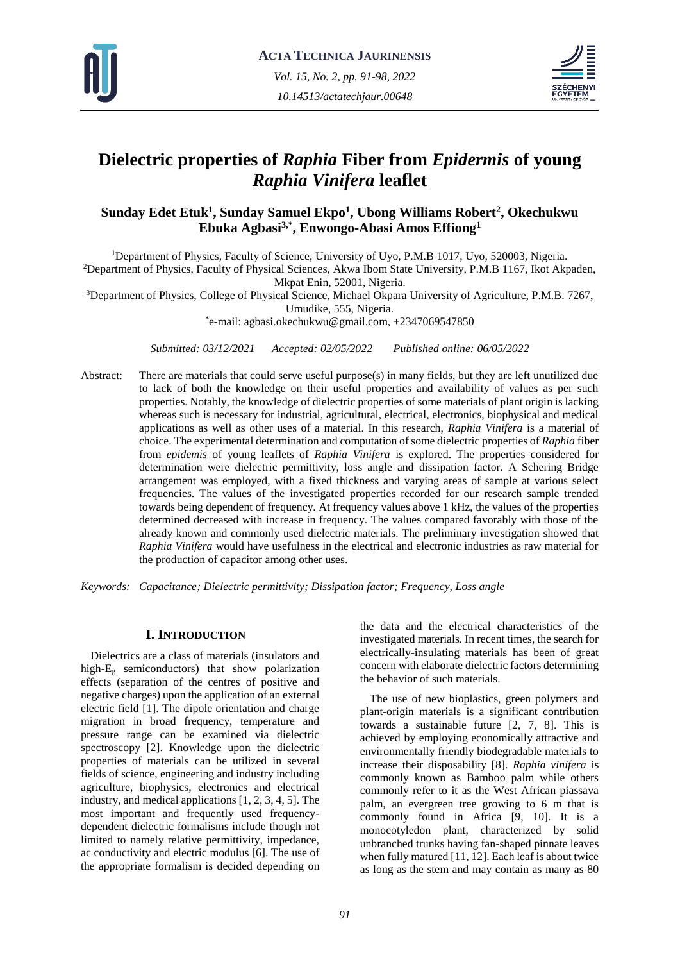



# **Dielectric properties of** *Raphia* **Fiber from** *Epidermis* **of young**  *Raphia Vinifera* **leaflet**

# **Sunday Edet Etuk<sup>1</sup> , Sunday Samuel Ekpo<sup>1</sup> , Ubong Williams Robert<sup>2</sup> , Okechukwu Ebuka Agbasi3,\* , Enwongo-Abasi Amos Effiong<sup>1</sup>**

<sup>1</sup>Department of Physics, Faculty of Science, University of Uyo, P.M.B 1017, Uyo, 520003, Nigeria. <sup>2</sup>Department of Physics, Faculty of Physical Sciences, Akwa Ibom State University, P.M.B 1167, Ikot Akpaden, Mkpat Enin, 52001, Nigeria.

<sup>3</sup>Department of Physics, College of Physical Science, Michael Okpara University of Agriculture, P.M.B. 7267,

Umudike, 555, Nigeria.

\* e-mail: agbasi.okechukwu@gmail.com, +2347069547850

*Submitted: 03/12/2021 Accepted: 02/05/2022 Published online: 06/05/2022*

Abstract: There are materials that could serve useful purpose(s) in many fields, but they are left unutilized due to lack of both the knowledge on their useful properties and availability of values as per such properties. Notably, the knowledge of dielectric properties of some materials of plant origin is lacking whereas such is necessary for industrial, agricultural, electrical, electronics, biophysical and medical applications as well as other uses of a material. In this research, *Raphia Vinifera* is a material of choice. The experimental determination and computation of some dielectric properties of *Raphia* fiber from *epidemis* of young leaflets of *Raphia Vinifera* is explored. The properties considered for determination were dielectric permittivity, loss angle and dissipation factor. A Schering Bridge arrangement was employed, with a fixed thickness and varying areas of sample at various select frequencies. The values of the investigated properties recorded for our research sample trended towards being dependent of frequency. At frequency values above 1 kHz, the values of the properties determined decreased with increase in frequency. The values compared favorably with those of the already known and commonly used dielectric materials. The preliminary investigation showed that *Raphia Vinifera* would have usefulness in the electrical and electronic industries as raw material for the production of capacitor among other uses.

*Keywords: Capacitance; Dielectric permittivity; Dissipation factor; Frequency, Loss angle*

### **I. INTRODUCTION**

Dielectrics are a class of materials (insulators and high-E<sup>g</sup> semiconductors) that show polarization effects (separation of the centres of positive and negative charges) upon the application of an external electric field [1]. The dipole orientation and charge migration in broad frequency, temperature and pressure range can be examined via dielectric spectroscopy [2]. Knowledge upon the dielectric properties of materials can be utilized in several fields of science, engineering and industry including agriculture, biophysics, electronics and electrical industry, and medical applications [1, 2, 3, 4, 5]. The most important and frequently used frequencydependent dielectric formalisms include though not limited to namely relative permittivity, impedance, ac conductivity and electric modulus [6]. The use of the appropriate formalism is decided depending on

the data and the electrical characteristics of the investigated materials. In recent times, the search for electrically-insulating materials has been of great concern with elaborate dielectric factors determining the behavior of such materials.

The use of new bioplastics, green polymers and plant-origin materials is a significant contribution towards a sustainable future [2, 7, 8]. This is achieved by employing economically attractive and environmentally friendly biodegradable materials to increase their disposability [8]. *Raphia vinifera* is commonly known as Bamboo palm while others commonly refer to it as the West African piassava palm, an evergreen tree growing to 6 m that is commonly found in Africa [9, 10]. It is a monocotyledon plant, characterized by solid unbranched trunks having fan-shaped pinnate leaves when fully matured [11, 12]. Each leaf is about twice as long as the stem and may contain as many as 80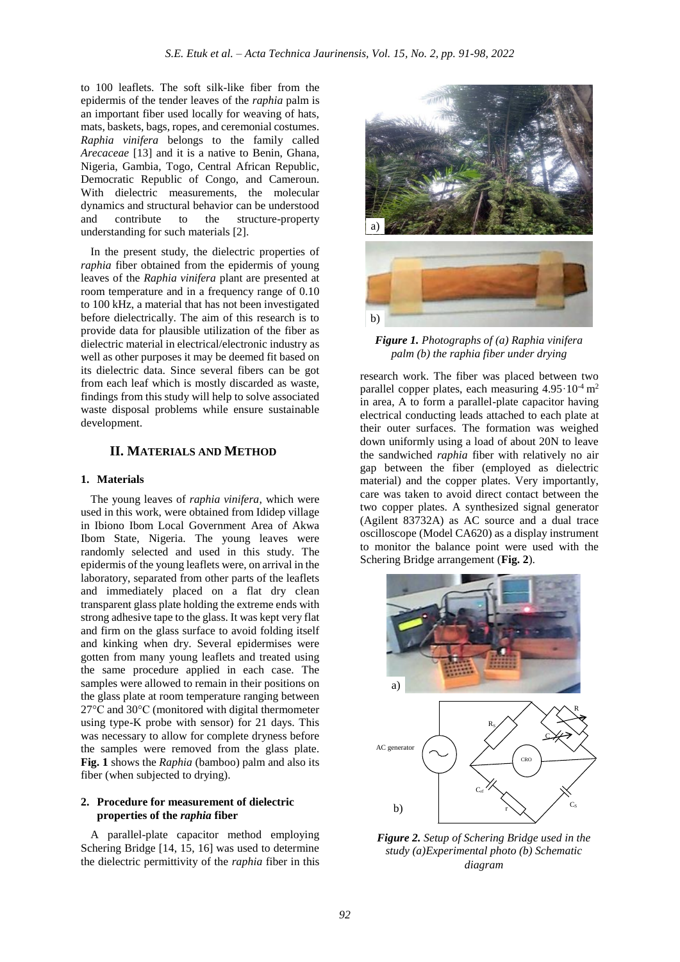to 100 leaflets. The soft silk-like fiber from the epidermis of the tender leaves of the *raphia* palm is an important fiber used locally for weaving of hats, mats, baskets, bags, ropes, and ceremonial costumes. *Raphia vinifera* belongs to the family called *Arecaceae* [13] and it is a native to Benin, Ghana, Nigeria, Gambia, Togo, Central African Republic, Democratic Republic of Congo, and Cameroun. With dielectric measurements, the molecular dynamics and structural behavior can be understood and contribute to the structure-property understanding for such materials [2].

In the present study, the dielectric properties of *raphia* fiber obtained from the epidermis of young leaves of the *Raphia vinifera* plant are presented at room temperature and in a frequency range of 0.10 to 100 kHz, a material that has not been investigated before dielectrically. The aim of this research is to provide data for plausible utilization of the fiber as dielectric material in electrical/electronic industry as well as other purposes it may be deemed fit based on its dielectric data. Since several fibers can be got from each leaf which is mostly discarded as waste, findings from this study will help to solve associated waste disposal problems while ensure sustainable development.

### **II. MATERIALS AND METHOD**

#### **1. Materials**

The young leaves of *raphia vinifera*, which were used in this work, were obtained from Ididep village in Ibiono Ibom Local Government Area of Akwa Ibom State, Nigeria. The young leaves were randomly selected and used in this study. The epidermis of the young leaflets were, on arrival in the laboratory, separated from other parts of the leaflets and immediately placed on a flat dry clean transparent glass plate holding the extreme ends with strong adhesive tape to the glass. It was kept very flat and firm on the glass surface to avoid folding itself and kinking when dry. Several epidermises were gotten from many young leaflets and treated using the same procedure applied in each case. The samples were allowed to remain in their positions on the glass plate at room temperature ranging between 27°C and 30°C (monitored with digital thermometer using type-K probe with sensor) for 21 days. This was necessary to allow for complete dryness before the samples were removed from the glass plate. **Fig. 1** shows the *Raphia* (bamboo) palm and also its fiber (when subjected to drying).

#### **2. Procedure for measurement of dielectric properties of the** *raphia* **fiber**

A parallel-plate capacitor method employing Schering Bridge [14, 15, 16] was used to determine the dielectric permittivity of the *raphia* fiber in this



*Figure 1. Photographs of (a) Raphia vinifera palm (b) the raphia fiber under drying*

research work. The fiber was placed between two parallel copper plates, each measuring  $4.95 \cdot 10^{-4}$  m<sup>2</sup> in area, A to form a parallel-plate capacitor having electrical conducting leads attached to each plate at their outer surfaces. The formation was weighed down uniformly using a load of about 20N to leave the sandwiched *raphia* fiber with relatively no air gap between the fiber (employed as dielectric material) and the copper plates. Very importantly, care was taken to avoid direct contact between the two copper plates. A synthesized signal generator (Agilent 83732A) as AC source and a dual trace oscilloscope (Model CA620) as a display instrument to monitor the balance point were used with the Schering Bridge arrangement (**Fig. 2**).



*Figure 2. Setup of Schering Bridge used in the study (a)Experimental photo (b) Schematic diagram*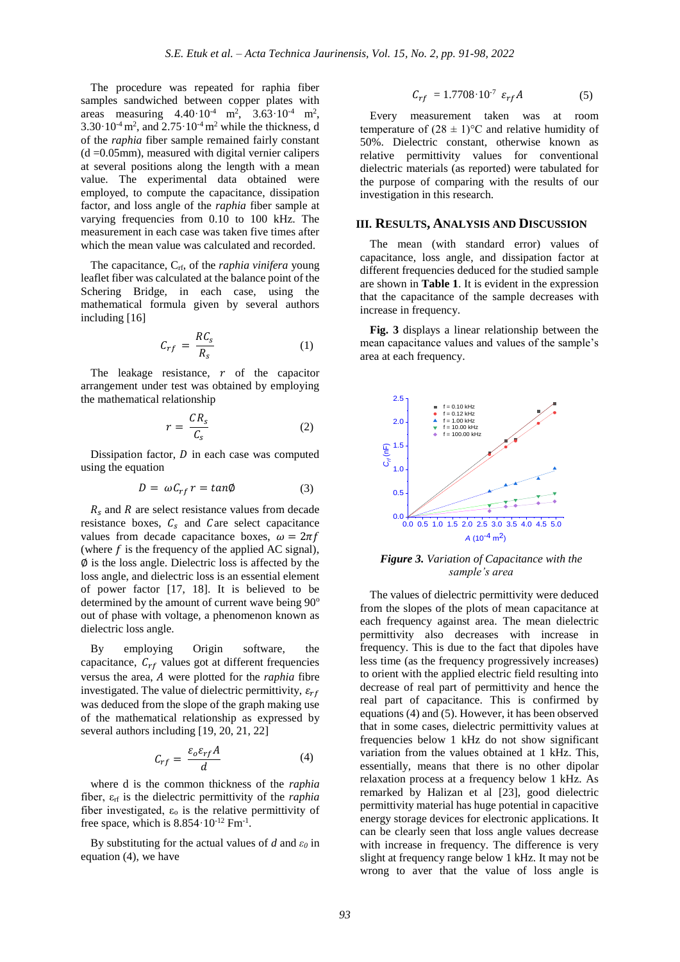The procedure was repeated for raphia fiber samples sandwiched between copper plates with areas measuring  $4.40 \cdot 10^{-4}$  m<sup>2</sup>,  $3.63 \cdot 10^{-4}$  m<sup>2</sup>,  $3.30 \cdot 10^{-4}$  m<sup>2</sup>, and  $2.75 \cdot 10^{-4}$  m<sup>2</sup> while the thickness, d of the *raphia* fiber sample remained fairly constant  $(d = 0.05$ mm), measured with digital vernier calipers at several positions along the length with a mean value. The experimental data obtained were employed, to compute the capacitance, dissipation factor, and loss angle of the *raphia* fiber sample at varying frequencies from 0.10 to 100 kHz. The measurement in each case was taken five times after which the mean value was calculated and recorded.

The capacitance, Crf, of the *raphia vinifera* young leaflet fiber was calculated at the balance point of the Schering Bridge, in each case, using the mathematical formula given by several authors including [16]

$$
C_{rf} = \frac{RC_s}{R_s} \tag{1}
$$

The leakage resistance,  $r$  of the capacitor arrangement under test was obtained by employing the mathematical relationship

$$
r = \frac{CR_s}{C_s} \tag{2}
$$

Dissipation factor,  $D$  in each case was computed using the equation

$$
D = \omega C_{rf} r = \tan \phi \tag{3}
$$

 $R_s$  and R are select resistance values from decade resistance boxes,  $C_s$  and Care select capacitance values from decade capacitance boxes,  $\omega = 2\pi f$ (where  $f$  is the frequency of the applied AC signal), ∅ is the loss angle. Dielectric loss is affected by the loss angle, and dielectric loss is an essential element of power factor [17, 18]. It is believed to be determined by the amount of current wave being 90<sup>o</sup> out of phase with voltage, a phenomenon known as dielectric loss angle.

By employing Origin software, the capacitance,  $C_{rf}$  values got at different frequencies versus the area, A were plotted for the *raphia* fibre investigated. The value of dielectric permittivity,  $\varepsilon_{rf}$ was deduced from the slope of the graph making use of the mathematical relationship as expressed by several authors including [19, 20, 21, 22]

$$
C_{rf} = \frac{\varepsilon_o \varepsilon_{rf} A}{d} \tag{4}
$$

where d is the common thickness of the *raphia* fiber, εrf is the dielectric permittivity of the *raphia* fiber investigated,  $\varepsilon_0$  is the relative permittivity of free space, which is  $8.854 \cdot 10^{-12}$  Fm<sup>-1</sup>.

By substituting for the actual values of *d* and *ε<sup>0</sup>* in equation (4), we have

$$
C_{rf} = 1.7708 \cdot 10^{-7} \varepsilon_{rf} A \tag{5}
$$

Every measurement taken was at room temperature of  $(28 \pm 1)$ °C and relative humidity of 50%. Dielectric constant, otherwise known as relative permittivity values for conventional dielectric materials (as reported) were tabulated for the purpose of comparing with the results of our investigation in this research.

### **III. RESULTS, ANALYSIS AND DISCUSSION**

The mean (with standard error) values of capacitance, loss angle, and dissipation factor at different frequencies deduced for the studied sample are shown in **Table 1**. It is evident in the expression that the capacitance of the sample decreases with increase in frequency.

**Fig. 3** displays a linear relationship between the mean capacitance values and values of the sample's area at each frequency.



*Figure 3. Variation of Capacitance with the sample's area*

The values of dielectric permittivity were deduced from the slopes of the plots of mean capacitance at each frequency against area. The mean dielectric permittivity also decreases with increase in frequency. This is due to the fact that dipoles have less time (as the frequency progressively increases) to orient with the applied electric field resulting into decrease of real part of permittivity and hence the real part of capacitance. This is confirmed by equations (4) and (5). However, it has been observed that in some cases, dielectric permittivity values at frequencies below 1 kHz do not show significant variation from the values obtained at 1 kHz. This, essentially, means that there is no other dipolar relaxation process at a frequency below 1 kHz. As remarked by Halizan et al [23], good dielectric permittivity material has huge potential in capacitive energy storage devices for electronic applications. It can be clearly seen that loss angle values decrease with increase in frequency. The difference is very slight at frequency range below 1 kHz. It may not be wrong to aver that the value of loss angle is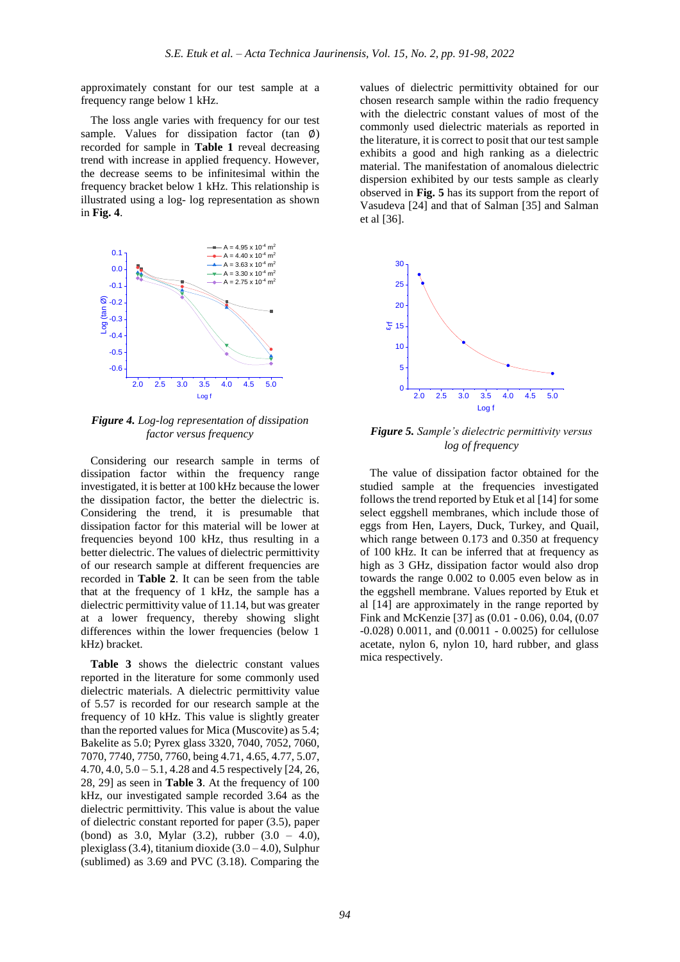approximately constant for our test sample at a frequency range below 1 kHz.

The loss angle varies with frequency for our test sample. Values for dissipation factor (tan  $\emptyset$ ) recorded for sample in **Table 1** reveal decreasing trend with increase in applied frequency. However, the decrease seems to be infinitesimal within the frequency bracket below 1 kHz. This relationship is illustrated using a log- log representation as shown in **Fig. 4**.



*Figure 4. Log-log representation of dissipation* 

Considering our research sample in terms of dissipation factor within the frequency range investigated, it is better at 100 kHz because the lower the dissipation factor, the better the dielectric is. Considering the trend, it is presumable that dissipation factor for this material will be lower at frequencies beyond 100 kHz, thus resulting in a better dielectric. The values of dielectric permittivity of our research sample at different frequencies are recorded in **Table 2**. It can be seen from the table that at the frequency of 1 kHz, the sample has a dielectric permittivity value of 11.14, but was greater at a lower frequency, thereby showing slight differences within the lower frequencies (below 1 kHz) bracket.

**Table 3** shows the dielectric constant values reported in the literature for some commonly used dielectric materials. A dielectric permittivity value of 5.57 is recorded for our research sample at the frequency of 10 kHz. This value is slightly greater than the reported values for Mica (Muscovite) as 5.4; Bakelite as 5.0; Pyrex glass 3320, 7040, 7052, 7060, 7070, 7740, 7750, 7760, being 4.71, 4.65, 4.77, 5.07, 4.70,  $4.0$ ,  $5.0 - 5.1$ ,  $4.28$  and  $4.5$  respectively [24, 26, 28, 29] as seen in **Table 3**. At the frequency of 100 kHz, our investigated sample recorded 3.64 as the dielectric permittivity. This value is about the value of dielectric constant reported for paper (3.5), paper (bond) as 3.0, Mylar (3.2), rubber (3.0 – 4.0), plexiglass  $(3.4)$ , titanium dioxide  $(3.0 - 4.0)$ , Sulphur (sublimed) as 3.69 and PVC (3.18). Comparing the

values of dielectric permittivity obtained for our chosen research sample within the radio frequency with the dielectric constant values of most of the commonly used dielectric materials as reported in the literature, it is correct to posit that our test sample exhibits a good and high ranking as a dielectric material. The manifestation of anomalous dielectric dispersion exhibited by our tests sample as clearly observed in **Fig. 5** has its support from the report of Vasudeva [24] and that of Salman [35] and Salman et al [36].



*log of frequency*

The value of dissipation factor obtained for the studied sample at the frequencies investigated follows the trend reported by Etuk et al [14] for some select eggshell membranes, which include those of eggs from Hen, Layers, Duck, Turkey, and Quail, which range between 0.173 and 0.350 at frequency of 100 kHz. It can be inferred that at frequency as high as 3 GHz, dissipation factor would also drop towards the range 0.002 to 0.005 even below as in the eggshell membrane. Values reported by Etuk et al [14] are approximately in the range reported by Fink and McKenzie [37] as (0.01 - 0.06), 0.04, (0.07 -0.028) 0.0011, and (0.0011 - 0.0025) for cellulose acetate, nylon 6, nylon 10, hard rubber, and glass mica respectively.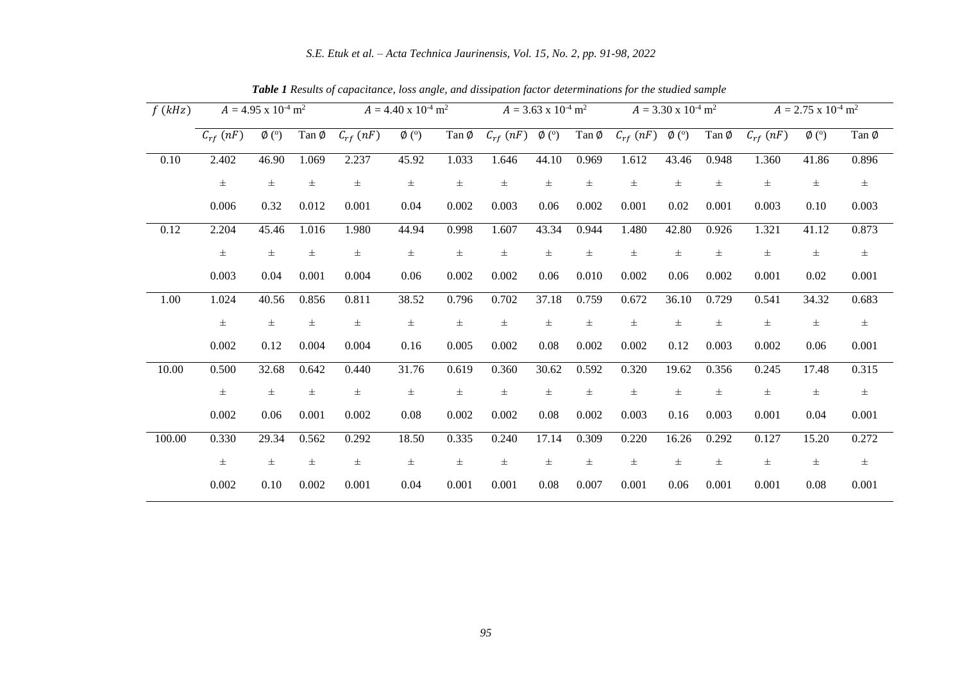*S.E. Etuk et al. – Acta Technica Jaurinensis, Vol. 15, No. 2, pp. 91-98, 2022*

| f(kHz) | $A = 4.95 \times 10^{-4} \text{ m}^2$ |                            | $A = 4.40 \times 10^{-4} \text{ m}^2$ |               |                 | $A = 3.63 \times 10^{-4} \text{ m}^2$ |                 |            | $A = 3.30 \times 10^{-4} \text{ m}^2$ |               |            | $A = 2.75 \times 10^{-4} \text{ m}^2$ |                 |                           |       |
|--------|---------------------------------------|----------------------------|---------------------------------------|---------------|-----------------|---------------------------------------|-----------------|------------|---------------------------------------|---------------|------------|---------------------------------------|-----------------|---------------------------|-------|
|        | $C_{rf}$ (nF)                         | $\emptyset$ ( $^{\circ}$ ) | Tan Ø                                 | $C_{rf}$ (nF) | $\emptyset$ (°) | Tan Ø                                 | $C_{rf}$ $(nF)$ | $\phi$ (°) | Tan Ø                                 | $C_{rf}$ (nF) | $\phi$ (°) | Tan Ø                                 | $C_{rf}$ $(nF)$ | $\emptyset$ ( $\degree$ ) | Tan Ø |
| 0.10   | 2.402                                 | 46.90                      | 1.069                                 | 2.237         | 45.92           | 1.033                                 | 1.646           | 44.10      | 0.969                                 | 1.612         | 43.46      | 0.948                                 | 1.360           | 41.86                     | 0.896 |
|        | $\pm$                                 | $\pm$                      | $\pm$                                 | $\pm$         | $\pm$           | $\pm$                                 | $\pm$           | $\pm$      | $\pm$                                 | $\pm$         | $\pm$      | $\pm$                                 | $\pm$           | $\pm$                     | $\pm$ |
|        | 0.006                                 | 0.32                       | 0.012                                 | 0.001         | 0.04            | 0.002                                 | 0.003           | 0.06       | 0.002                                 | 0.001         | 0.02       | 0.001                                 | 0.003           | 0.10                      | 0.003 |
| 0.12   | 2.204                                 | 45.46                      | 1.016                                 | 1.980         | 44.94           | 0.998                                 | 1.607           | 43.34      | 0.944                                 | 1.480         | 42.80      | 0.926                                 | 1.321           | 41.12                     | 0.873 |
|        | $\pm$                                 | $\pm$                      | $\pm$                                 | $\pm$         | $\pm$           | $\pm$                                 | $\pm$           | $\pm$      | $\pm$                                 | $\pm$         | $\pm$      | $\pm$                                 | $\pm$           | $\pm$                     | $\pm$ |
|        | 0.003                                 | 0.04                       | 0.001                                 | 0.004         | 0.06            | 0.002                                 | 0.002           | 0.06       | 0.010                                 | 0.002         | 0.06       | 0.002                                 | 0.001           | 0.02                      | 0.001 |
| 1.00   | 1.024                                 | 40.56                      | 0.856                                 | 0.811         | 38.52           | 0.796                                 | 0.702           | 37.18      | 0.759                                 | 0.672         | 36.10      | 0.729                                 | 0.541           | 34.32                     | 0.683 |
|        | $\pm$                                 | $\pm$                      | $\pm$                                 | $\pm$         | $\pm$           | $\pm$                                 | $_{\pm}$        | $\pm$      | $\pm$                                 | $\pm$         | $\pm$      | $\pm$                                 | $\pm$           | $_{\pm}$                  | $\pm$ |
|        | 0.002                                 | 0.12                       | 0.004                                 | 0.004         | 0.16            | 0.005                                 | 0.002           | 0.08       | 0.002                                 | 0.002         | 0.12       | 0.003                                 | 0.002           | 0.06                      | 0.001 |
| 10.00  | 0.500                                 | 32.68                      | 0.642                                 | 0.440         | 31.76           | 0.619                                 | 0.360           | 30.62      | 0.592                                 | 0.320         | 19.62      | 0.356                                 | 0.245           | 17.48                     | 0.315 |
|        | $\pm$                                 | $\pm$                      | $\pm$                                 | $\pm$         | $\pm$           | $\pm$                                 | $\pm$           | $\pm$      | $\pm$                                 | $\pm$         | $\pm$      | $\pm$                                 | $\pm$           | $\pm$                     | $\pm$ |
|        | 0.002                                 | 0.06                       | 0.001                                 | 0.002         | 0.08            | 0.002                                 | 0.002           | 0.08       | 0.002                                 | 0.003         | 0.16       | 0.003                                 | 0.001           | 0.04                      | 0.001 |
| 100.00 | 0.330                                 | 29.34                      | 0.562                                 | 0.292         | 18.50           | 0.335                                 | 0.240           | 17.14      | 0.309                                 | 0.220         | 16.26      | 0.292                                 | 0.127           | 15.20                     | 0.272 |
|        | $\pm$                                 | $_{\pm}$                   | $\pm$                                 | $\pm$         | $\pm$           | $\pm$                                 | $_{\pm}$        | $\pm$      | $\pm$                                 | $\pm$         | $\pm$      | $\pm$                                 | $_{\pm}$        | $_{\pm}$                  | $\pm$ |
|        | 0.002                                 | 0.10                       | 0.002                                 | 0.001         | 0.04            | 0.001                                 | 0.001           | 0.08       | 0.007                                 | 0.001         | 0.06       | 0.001                                 | 0.001           | 0.08                      | 0.001 |

*Table 1 Results of capacitance, loss angle, and dissipation factor determinations for the studied sample*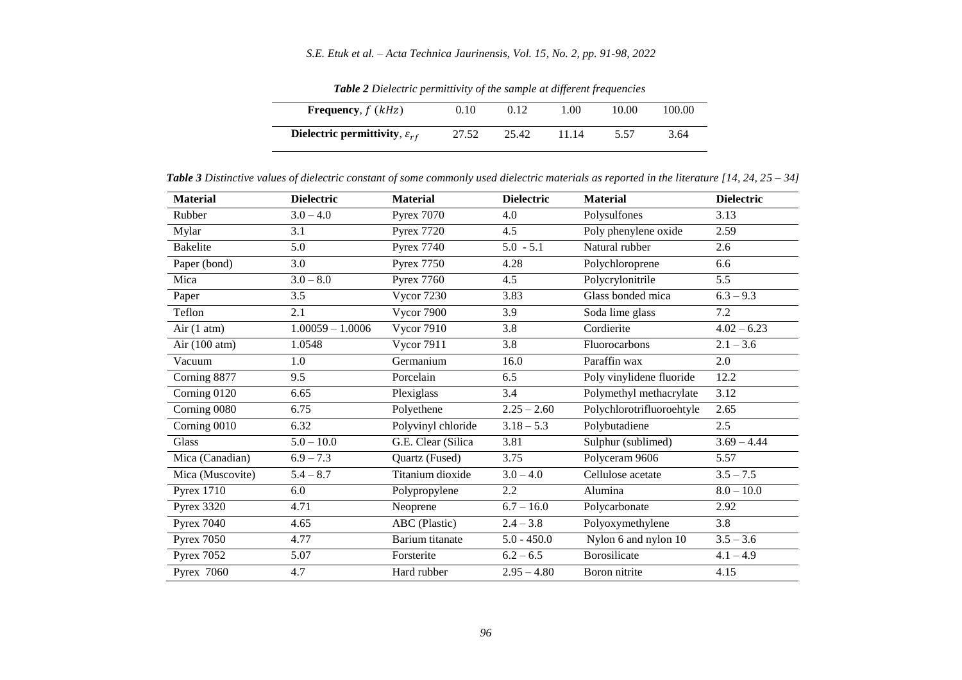# *S.E. Etuk et al. – Acta Technica Jaurinensis, Vol. 15, No. 2, pp. 91-98, 2022*

| Frequency, $f(kHz)$                         | 0.10  | 0.12  | 00.1  | 10.00 | 100.00 |
|---------------------------------------------|-------|-------|-------|-------|--------|
| Dielectric permittivity, $\varepsilon_{rf}$ | 27.52 | 25.42 | 11.14 | 5.57  | 3.64   |

*Table 2 Dielectric permittivity of the sample at different frequencies*

 $\overline{a}$ 

*Table 3 Distinctive values of dielectric constant of some commonly used dielectric materials as reported in the literature [14, 24, 25 – 34]*

| <b>Material</b>   | <b>Dielectric</b>  | <b>Material</b>    | <b>Dielectric</b> | <b>Material</b>           | <b>Dielectric</b> |
|-------------------|--------------------|--------------------|-------------------|---------------------------|-------------------|
| Rubber            | $3.0 - 4.0$        | <b>Pyrex 7070</b>  | 4.0               | Polysulfones              | 3.13              |
| Mylar             | 3.1                | <b>Pyrex 7720</b>  | 4.5               | Poly phenylene oxide      | 2.59              |
| <b>Bakelite</b>   | 5.0                | <b>Pyrex 7740</b>  | $5.0 - 5.1$       | Natural rubber            | 2.6               |
| Paper (bond)      | 3.0                | <b>Pyrex 7750</b>  | 4.28              | Polychloroprene           | 6.6               |
| Mica              | $3.0 - 8.0$        | <b>Pyrex 7760</b>  | 4.5               | Polycrylonitrile          | 5.5               |
| Paper             | 3.5                | <b>Vycor 7230</b>  | 3.83              | Glass bonded mica         | $6.3 - 9.3$       |
| Teflon            | 2.1                | <b>Vycor 7900</b>  | 3.9               | Soda lime glass           | 7.2               |
| Air $(1$ atm)     | $1.00059 - 1.0006$ | <b>Vycor 7910</b>  | 3.8               | Cordierite                | $4.02 - 6.23$     |
| Air $(100 atm)$   | 1.0548             | <b>Vycor 7911</b>  | 3.8               | Fluorocarbons             | $2.1 - 3.6$       |
| Vacuum            | 1.0                | Germanium          | 16.0              | Paraffin wax              | 2.0               |
| Corning 8877      | 9.5                | Porcelain          | 6.5               | Poly vinylidene fluoride  | 12.2              |
| Corning 0120      | 6.65               | Plexiglass         | 3.4               | Polymethyl methacrylate   | 3.12              |
| Corning 0080      | 6.75               | Polyethene         | $2.25 - 2.60$     | Polychlorotrifluoroehtyle | 2.65              |
| Corning 0010      | 6.32               | Polyvinyl chloride | $3.18 - 5.3$      | Polybutadiene             | 2.5               |
| Glass             | $5.0 - 10.0$       | G.E. Clear (Silica | 3.81              | Sulphur (sublimed)        | $3.69 - 4.44$     |
| Mica (Canadian)   | $6.9 - 7.3$        | Quartz (Fused)     | 3.75              | Polyceram 9606            | 5.57              |
| Mica (Muscovite)  | $5.4 - 8.7$        | Titanium dioxide   | $3.0 - 4.0$       | Cellulose acetate         | $3.5 - 7.5$       |
| <b>Pyrex 1710</b> | 6.0                | Polypropylene      | 2.2               | Alumina                   | $8.0 - 10.0$      |
| <b>Pyrex 3320</b> | 4.71               | Neoprene           | $6.7 - 16.0$      | Polycarbonate             | 2.92              |
| <b>Pyrex 7040</b> | 4.65               | ABC (Plastic)      | $2.4 - 3.8$       | Polyoxymethylene          | 3.8               |
| <b>Pyrex 7050</b> | 4.77               | Barium titanate    | $5.0 - 450.0$     | Nylon 6 and nylon 10      | $3.5 - 3.6$       |
| <b>Pyrex 7052</b> | 5.07               | Forsterite         | $6.2 - 6.5$       | Borosilicate              | $4.1 - 4.9$       |
| Pyrex 7060        | 4.7                | Hard rubber        | $2.95 - 4.80$     | Boron nitrite             | 4.15              |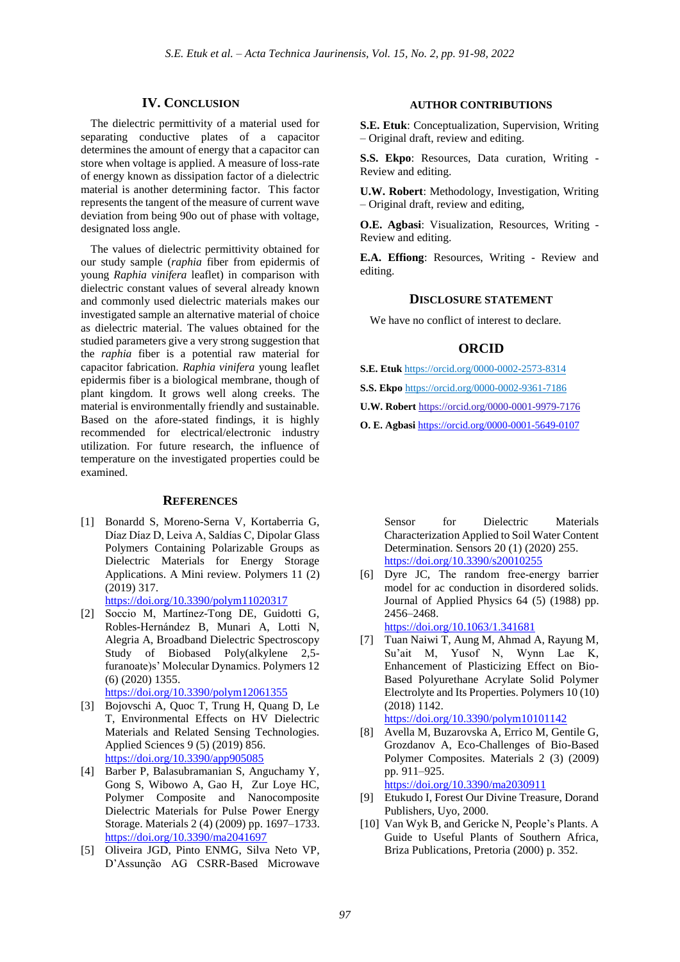### **IV. CONCLUSION**

The dielectric permittivity of a material used for separating conductive plates of a capacitor determines the amount of energy that a capacitor can store when voltage is applied. A measure of loss-rate of energy known as dissipation factor of a dielectric material is another determining factor. This factor represents the tangent of the measure of current wave deviation from being 90o out of phase with voltage, designated loss angle.

The values of dielectric permittivity obtained for our study sample (*raphia* fiber from epidermis of young *Raphia vinifera* leaflet) in comparison with dielectric constant values of several already known and commonly used dielectric materials makes our investigated sample an alternative material of choice as dielectric material. The values obtained for the studied parameters give a very strong suggestion that the *raphia* fiber is a potential raw material for capacitor fabrication. *Raphia vinifera* young leaflet epidermis fiber is a biological membrane, though of plant kingdom. It grows well along creeks. The material is environmentally friendly and sustainable. Based on the afore-stated findings, it is highly recommended for electrical/electronic industry utilization. For future research, the influence of temperature on the investigated properties could be examined.

#### **REFERENCES**

[1] Bonardd S, Moreno-Serna V, Kortaberria G, Díaz Díaz D, Leiva A, Saldías C, Dipolar Glass Polymers Containing Polarizable Groups as Dielectric Materials for Energy Storage Applications. A Mini review. Polymers 11 (2) (2019) 317.

<https://doi.org/10.3390/polym11020317>

[2] Soccio M, Martínez-Tong DE, Guidotti G, Robles-Hernández B, Munari A, Lotti N, Alegria A, Broadband Dielectric Spectroscopy Study of Biobased Poly(alkylene 2,5 furanoate)s' Molecular Dynamics. Polymers 12 (6) (2020) 1355. <https://doi.org/10.3390/polym12061355>

[3] Bojovschi A, Quoc T, Trung H, Quang D, Le T, Environmental Effects on HV Dielectric Materials and Related Sensing Technologies. Applied Sciences 9 (5) (2019) 856. <https://doi.org/10.3390/app905085>

- [4] Barber P, Balasubramanian S, Anguchamy Y, Gong S, Wibowo A, Gao H, Zur Loye HC, Polymer Composite and Nanocomposite Dielectric Materials for Pulse Power Energy Storage. Materials 2 (4) (2009) pp. 1697–1733. <https://doi.org/10.3390/ma2041697>
- [5] Oliveira JGD, Pinto ENMG, Silva Neto VP, D'Assunção AG CSRR-Based Microwave

### **AUTHOR CONTRIBUTIONS**

**S.E. Etuk**: Conceptualization, Supervision, Writing – Original draft, review and editing.

**S.S. Ekpo**: Resources, Data curation, Writing - Review and editing.

**U.W. Robert**: Methodology, Investigation, Writing – Original draft, review and editing,

**O.E. Agbasi**: Visualization, Resources, Writing - Review and editing.

**E.A. Effiong**: Resources, Writing - Review and editing.

### **DISCLOSURE STATEMENT**

We have no conflict of interest to declare.

## **ORCID**

**S.E. Etuk** https://orcid.or[g/0000-0002-2573-8314](https://orcid.org/0000-0002-2573-8314)

**S.S. Ekpo** [https://orcid.org/0000-0002-9361-7186](https://orcid.org/)

**U.W. Robert** [https://orcid.org/0000-0001-9979-7176](https://orcid.org/)

**O. E. Agbasi** <https://orcid.org/0000-0001-5649-0107>

Sensor for Dielectric Materials Characterization Applied to Soil Water Content Determination. Sensors 20 (1) (2020) 255. <https://doi.org/10.3390/s20010255>

[6] Dyre JC, The random free-energy barrier model for ac conduction in disordered solids. Journal of Applied Physics 64 (5) (1988) pp. 2456–2468.

<https://doi.org/10.1063/1.341681>

- [7] Tuan Naiwi T, Aung M, Ahmad A, Rayung M, Su'ait M, Yusof N, Wynn Lae K, Enhancement of Plasticizing Effect on Bio-Based Polyurethane Acrylate Solid Polymer Electrolyte and Its Properties. Polymers 10 (10) (2018) 1142. <https://doi.org/10.3390/polym10101142>
- [8] Avella M, Buzarovska A, Errico M, Gentile G, Grozdanov A, Eco-Challenges of Bio-Based Polymer Composites. Materials 2 (3) (2009) pp. 911–925. <https://doi.org/10.3390/ma2030911>

[9] Etukudo I, Forest Our Divine Treasure, Dorand

- Publishers, Uyo, 2000.
- [10] Van Wyk B, and Gericke N, People's Plants. A Guide to Useful Plants of Southern Africa, Briza Publications, Pretoria (2000) p. 352.